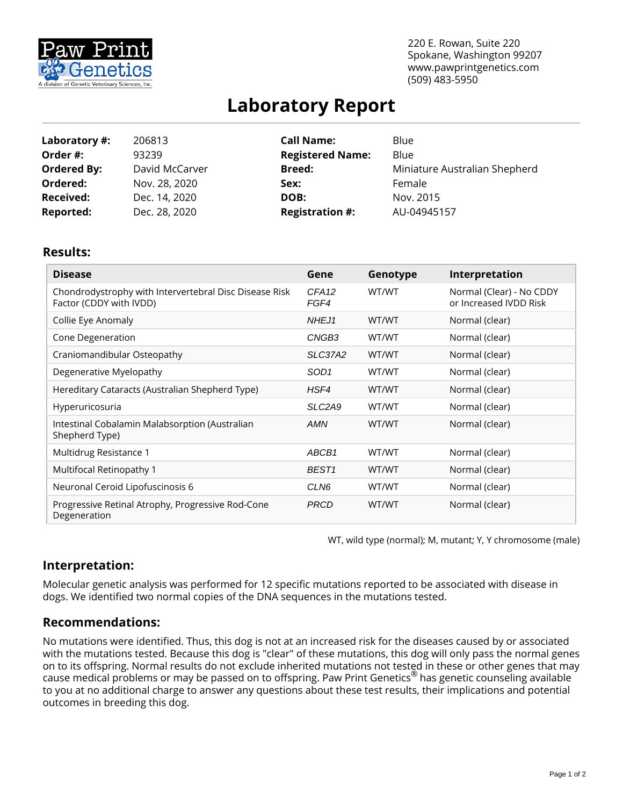

220 E. Rowan, Suite 220 Spokane, Washington 99207 www.pawprintgenetics.com (509) 483-5950

# **Laboratory Report**

| Laboratory #:      | 206813         | <b>Call Name:</b>       | Blue                          |
|--------------------|----------------|-------------------------|-------------------------------|
| Order #:           | 93239          | <b>Registered Name:</b> | Blue                          |
| <b>Ordered By:</b> | David McCarver | <b>Breed:</b>           | Miniature Australian Shepherd |
| Ordered:           | Nov. 28, 2020  | Sex:                    | Female                        |
| <b>Received:</b>   | Dec. 14, 2020  | DOB:                    | Nov. 2015                     |
| <b>Reported:</b>   | Dec. 28, 2020  | <b>Registration #:</b>  | AU-04945157                   |

## **Results:**

| <b>Disease</b>                                                                    | Gene                      | Genotype | Interpretation                                     |
|-----------------------------------------------------------------------------------|---------------------------|----------|----------------------------------------------------|
| Chondrodystrophy with Intervertebral Disc Disease Risk<br>Factor (CDDY with IVDD) | CFA <sub>12</sub><br>FGF4 | WT/WT    | Normal (Clear) - No CDDY<br>or Increased IVDD Risk |
| Collie Eye Anomaly                                                                | NHEJ1                     | WT/WT    | Normal (clear)                                     |
| Cone Degeneration                                                                 | CNGB <sub>3</sub>         | WT/WT    | Normal (clear)                                     |
| Craniomandibular Osteopathy                                                       | SLC37A2                   | WT/WT    | Normal (clear)                                     |
| Degenerative Myelopathy                                                           | SOD <sub>1</sub>          | WT/WT    | Normal (clear)                                     |
| Hereditary Cataracts (Australian Shepherd Type)                                   | HSF4                      | WT/WT    | Normal (clear)                                     |
| Hyperuricosuria                                                                   | SLC <sub>2</sub> A9       | WT/WT    | Normal (clear)                                     |
| Intestinal Cobalamin Malabsorption (Australian<br>Shepherd Type)                  | <b>AMN</b>                | WT/WT    | Normal (clear)                                     |
| Multidrug Resistance 1                                                            | ABCB1                     | WT/WT    | Normal (clear)                                     |
| Multifocal Retinopathy 1                                                          | BEST <sub>1</sub>         | WT/WT    | Normal (clear)                                     |
| Neuronal Ceroid Lipofuscinosis 6                                                  | CLN6                      | WT/WT    | Normal (clear)                                     |
| Progressive Retinal Atrophy, Progressive Rod-Cone<br>Degeneration                 | <b>PRCD</b>               | WT/WT    | Normal (clear)                                     |

WT, wild type (normal); M, mutant; Y, Y chromosome (male)

## **Interpretation:**

Molecular genetic analysis was performed for 12 specific mutations reported to be associated with disease in dogs. We identified two normal copies of the DNA sequences in the mutations tested.

## **Recommendations:**

No mutations were identified. Thus, this dog is not at an increased risk for the diseases caused by or associated with the mutations tested. Because this dog is "clear" of these mutations, this dog will only pass the normal genes on to its offspring. Normal results do not exclude inherited mutations not tested in these or other genes that may cause medical problems or may be passed on to offspring. Paw Print Genetics® has genetic counseling available to you at no additional charge to answer any questions about these test results, their implications and potential outcomes in breeding this dog.